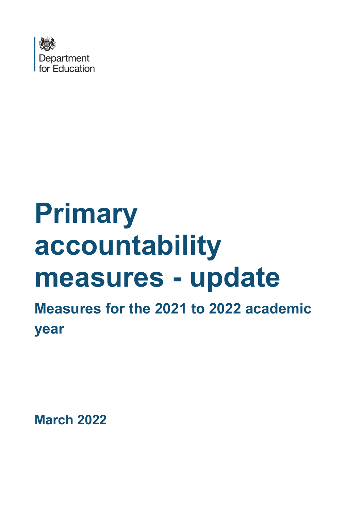

# **Primary accountability measures - update**

**Measures for the 2021 to 2022 academic year**

**March 2022**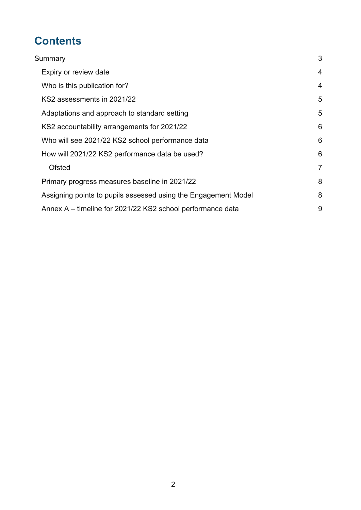# **Contents**

| Summary                                                        |                |
|----------------------------------------------------------------|----------------|
| Expiry or review date                                          | $\overline{4}$ |
| Who is this publication for?                                   | $\overline{4}$ |
| KS2 assessments in 2021/22                                     | 5              |
| Adaptations and approach to standard setting                   | 5              |
| KS2 accountability arrangements for 2021/22                    | 6              |
| Who will see 2021/22 KS2 school performance data               | 6              |
| How will 2021/22 KS2 performance data be used?                 | 6              |
| <b>Ofsted</b>                                                  | $\overline{7}$ |
| Primary progress measures baseline in 2021/22                  | 8              |
| Assigning points to pupils assessed using the Engagement Model | 8              |
| Annex A – timeline for 2021/22 KS2 school performance data     | 9              |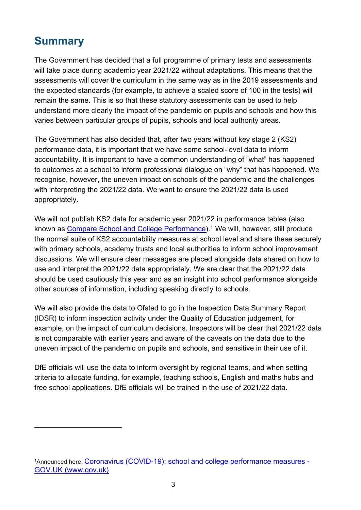## **Summary**

The Government has decided that a full programme of primary tests and assessments will take place during academic year 2021/22 without adaptations. This means that the assessments will cover the curriculum in the same way as in the 2019 assessments and the expected standards (for example, to achieve a scaled score of 100 in the tests) will remain the same. This is so that these statutory assessments can be used to help understand more clearly the impact of the pandemic on pupils and schools and how this varies between particular groups of pupils, schools and local authority areas.

The Government has also decided that, after two years without key stage 2 (KS2) performance data, it is important that we have some school-level data to inform accountability. It is important to have a common understanding of "what" has happened to outcomes at a school to inform professional dialogue on "why" that has happened. We recognise, however, the uneven impact on schools of the pandemic and the challenges with interpreting the 2021/22 data. We want to ensure the 2021/22 data is used appropriately.

We will not publish KS2 data for academic year 2021/22 in performance tables (also known as Compare School and College Performance).<sup>1</sup> We will, however, still produce the normal suite of KS2 accountability measures at school level and share these securely with primary schools, academy trusts and local authorities to inform school improvement discussions. We will ensure clear messages are placed alongside data shared on how to use and interpret the 2021/22 data appropriately. We are clear that the 2021/22 data should be used cautiously this year and as an insight into school performance alongside other sources of information, including speaking directly to schools.

We will also provide the data to Ofsted to go in the Inspection Data Summary Report (IDSR) to inform inspection activity under the Quality of Education judgement, for example, on the impact of curriculum decisions. Inspectors will be clear that 2021/22 data is not comparable with earlier years and aware of the caveats on the data due to the uneven impact of the pandemic on pupils and schools, and sensitive in their use of it.

DfE officials will use the data to inform oversight by regional teams, and when setting criteria to allocate funding, for example, teaching schools, English and maths hubs and free school applications. DfE officials will be trained in the use of 2021/22 data.

<sup>&</sup>lt;sup>1</sup>Announced here: Coronavirus (COVID-19): school and college performance measures -GOV.UK (www.gov.uk)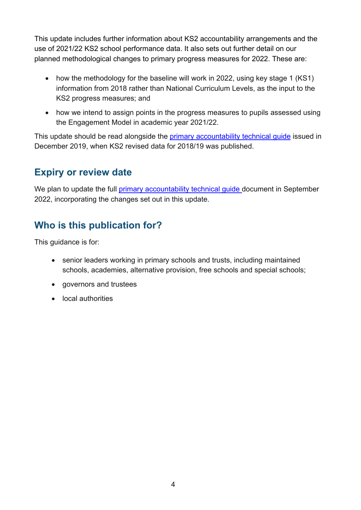This update includes further information about KS2 accountability arrangements and the use of 2021/22 KS2 school performance data. It also sets out further detail on our planned methodological changes to primary progress measures for 2022. These are:

- how the methodology for the baseline will work in 2022, using key stage 1 (KS1) information from 2018 rather than National Curriculum Levels, as the input to the KS2 progress measures; and
- how we intend to assign points in the progress measures to pupils assessed using the Engagement Model in academic year 2021/22.

This update should be read alongside the primary accountability technical guide issued in December 2019, when KS2 revised data for 2018/19 was published.

### **Expiry or review date**

We plan to update the full primary accountability technical quide document in September 2022, incorporating the changes set out in this update.

## **Who is this publication for?**

This guidance is for:

- senior leaders working in primary schools and trusts, including maintained schools, academies, alternative provision, free schools and special schools;
- governors and trustees
- local authorities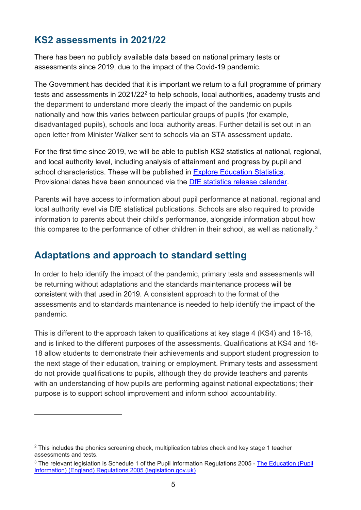#### **KS2 assessments in 2021/22**

There has been no publicly available data based on national primary tests or assessments since 2019, due to the impact of the Covid-19 pandemic.

The Government has decided that it is important we return to a full programme of primary tests and assessments in 2021/22<sup>2</sup> to help schools, local authorities, academy trusts and the department to understand more clearly the impact of the pandemic on pupils nationally and how this varies between particular groups of pupils (for example, disadvantaged pupils), schools and local authority areas. Further detail is set out in an open letter from Minister Walker sent to schools via an STA assessment update.

For the first time since 2019, we will be able to publish KS2 statistics at national, regional, and local authority level, including analysis of attainment and progress by pupil and school characteristics. These will be published in Explore Education Statistics. Provisional dates have been announced via the DfE statistics release calendar.

Parents will have access to information about pupil performance at national, regional and local authority level via DfE statistical publications. Schools are also required to provide information to parents about their child's performance, alongside information about how this compares to the performance of other children in their school, as well as nationally.<sup>3</sup>

#### **Adaptations and approach to standard setting**

In order to help identify the impact of the pandemic, primary tests and assessments will be returning without adaptations and the standards maintenance process will be consistent with that used in 2019. A consistent approach to the format of the assessments and to standards maintenance is needed to help identify the impact of the pandemic.

This is different to the approach taken to qualifications at key stage 4 (KS4) and 16-18, and is linked to the different purposes of the assessments. Qualifications at KS4 and 16- 18 allow students to demonstrate their achievements and support student progression to the next stage of their education, training or employment. Primary tests and assessment do not provide qualifications to pupils, although they do provide teachers and parents with an understanding of how pupils are performing against national expectations; their purpose is to support school improvement and inform school accountability.

<sup>&</sup>lt;sup>2</sup> This includes the phonics screening check, multiplication tables check and key stage 1 teacher assessments and tests.

<sup>&</sup>lt;sup>3</sup> The relevant legislation is Schedule 1 of the Pupil Information Regulations 2005 - The Education (Pupil Information) (England) Regulations 2005 (legislation.gov.uk)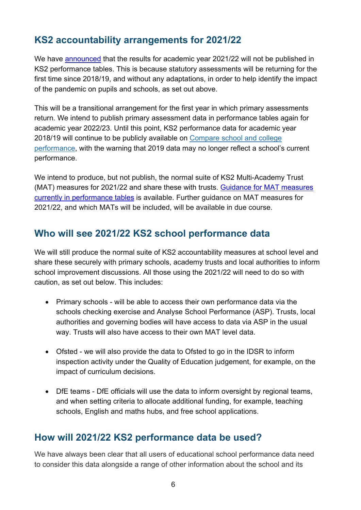### **KS2 accountability arrangements for 2021/22**

We have announced that the results for academic year 2021/22 will not be published in KS2 performance tables. This is because statutory assessments will be returning for the first time since 2018/19, and without any adaptations, in order to help identify the impact of the pandemic on pupils and schools, as set out above.

This will be a transitional arrangement for the first year in which primary assessments return. We intend to publish primary assessment data in performance tables again for academic year 2022/23. Until this point, KS2 performance data for academic year 2018/19 will continue to be publicly available on Compare school and college performance, with the warning that 2019 data may no longer reflect a school's current performance.

We intend to produce, but not publish, the normal suite of KS2 Multi-Academy Trust (MAT) measures for 2021/22 and share these with trusts. Guidance for MAT measures currently in performance tables is available. Further guidance on MAT measures for 2021/22, and which MATs will be included, will be available in due course.

#### **Who will see 2021/22 KS2 school performance data**

We will still produce the normal suite of KS2 accountability measures at school level and share these securely with primary schools, academy trusts and local authorities to inform school improvement discussions. All those using the 2021/22 will need to do so with caution, as set out below. This includes:

- Primary schools will be able to access their own performance data via the schools checking exercise and Analyse School Performance (ASP). Trusts, local authorities and governing bodies will have access to data via ASP in the usual way. Trusts will also have access to their own MAT level data.
- Ofsted we will also provide the data to Ofsted to go in the IDSR to inform inspection activity under the Quality of Education judgement, for example, on the impact of curriculum decisions.
- DfE teams DfE officials will use the data to inform oversight by regional teams, and when setting criteria to allocate additional funding, for example, teaching schools, English and maths hubs, and free school applications.

#### **How will 2021/22 KS2 performance data be used?**

We have always been clear that all users of educational school performance data need to consider this data alongside a range of other information about the school and its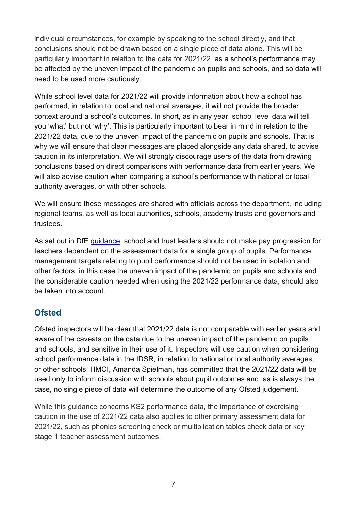individual circumstances, for example by speaking to the school directly, and that conclusions should not be drawn based on a single piece of data alone. This will be particularly important in relation to the data for 2021/22, as a school's performance may be affected by the uneven impact of the pandemic on pupils and schools, and so data will need to be used more cautiously.

While school level data for 2021/22 will provide information about how a school has performed, in relation to local and national averages, it will not provide the broader context around a school's outcomes. In short, as in any year, school level data will tell you 'what' but not 'why'. This is particularly important to bear in mind in relation to the 2021/22 data, due to the uneven impact of the pandemic on pupils and schools. That is why we will ensure that clear messages are placed alongside any data shared, to advise caution in its interpretation. We will strongly discourage users of the data from drawing conclusions based on direct comparisons with performance data from earlier years. We will also advise caution when comparing a school's performance with national or local authority averages, or with other schools.

We will ensure these messages are shared with officials across the department, including regional teams, as well as local authorities, schools, academy trusts and governors and trustees.

As set out in DfE guidance, school and trust leaders should not make pay progression for teachers dependent on the assessment data for a single group of pupils. Performance management targets relating to pupil performance should not be used in isolation and other factors, in this case the uneven impact of the pandemic on pupils and schools and the considerable caution needed when using the 2021/22 performance data, should also be taken into account.

#### **Ofsted**

Ofsted inspectors will be clear that 2021/22 data is not comparable with earlier years and aware of the caveats on the data due to the uneven impact of the pandemic on pupils and schools, and sensitive in their use of it. Inspectors will use caution when considering school performance data in the IDSR, in relation to national or local authority averages, or other schools. HMCI, Amanda Spielman, has committed that the 2021/22 data will be used only to inform discussion with schools about pupil outcomes and, as is always the case, no single piece of data will determine the outcome of any Ofsted judgement.

While this guidance concerns KS2 performance data, the importance of exercising caution in the use of 2021/22 data also applies to other primary assessment data for 2021/22, such as phonics screening check or multiplication tables check data or key stage 1 teacher assessment outcomes.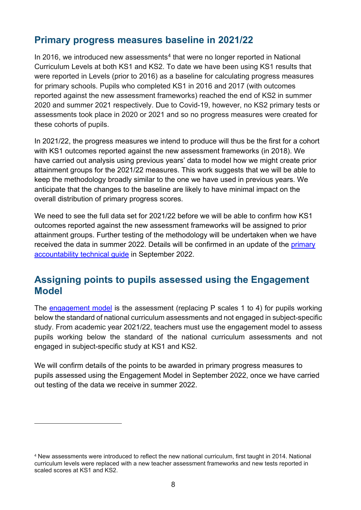#### **Primary progress measures baseline in 2021/22**

In 2016, we introduced new assessments<sup>4</sup> that were no longer reported in National Curriculum Levels at both KS1 and KS2. To date we have been using KS1 results that were reported in Levels (prior to 2016) as a baseline for calculating progress measures for primary schools. Pupils who completed KS1 in 2016 and 2017 (with outcomes reported against the new assessment frameworks) reached the end of KS2 in summer 2020 and summer 2021 respectively. Due to Covid-19, however, no KS2 primary tests or assessments took place in 2020 or 2021 and so no progress measures were created for these cohorts of pupils.

In 2021/22, the progress measures we intend to produce will thus be the first for a cohort with KS1 outcomes reported against the new assessment frameworks (in 2018). We have carried out analysis using previous years' data to model how we might create prior attainment groups for the 2021/22 measures. This work suggests that we will be able to keep the methodology broadly similar to the one we have used in previous years. We anticipate that the changes to the baseline are likely to have minimal impact on the overall distribution of primary progress scores.

We need to see the full data set for 2021/22 before we will be able to confirm how KS1 outcomes reported against the new assessment frameworks will be assigned to prior attainment groups. Further testing of the methodology will be undertaken when we have received the data in summer 2022. Details will be confirmed in an update of the primary accountability technical guide in September 2022.

#### **Assigning points to pupils assessed using the Engagement Model**

The engagement model is the assessment (replacing P scales 1 to 4) for pupils working below the standard of national curriculum assessments and not engaged in subject-specific study. From academic year 2021/22, teachers must use the engagement model to assess pupils working below the standard of the national curriculum assessments and not engaged in subject-specific study at KS1 and KS2.

We will confirm details of the points to be awarded in primary progress measures to pupils assessed using the Engagement Model in September 2022, once we have carried out testing of the data we receive in summer 2022.

<sup>4</sup> New assessments were introduced to reflect the new national curriculum, first taught in 2014. National curriculum levels were replaced with a new teacher assessment frameworks and new tests reported in scaled scores at KS1 and KS2.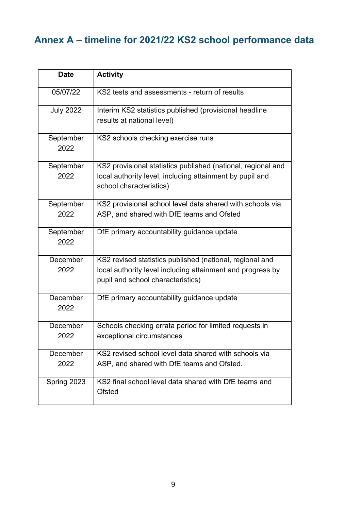# **Annex A – timeline for 2021/22 KS2 school performance data**

| <b>Date</b>       | <b>Activity</b>                                              |
|-------------------|--------------------------------------------------------------|
| 05/07/22          | KS2 tests and assessments - return of results                |
| <b>July 2022</b>  | Interim KS2 statistics published (provisional headline       |
|                   | results at national level)                                   |
| September<br>2022 | KS2 schools checking exercise runs                           |
|                   |                                                              |
| September         | KS2 provisional statistics published (national, regional and |
| 2022              | local authority level, including attainment by pupil and     |
|                   | school characteristics)                                      |
| September         | KS2 provisional school level data shared with schools via    |
| 2022              | ASP, and shared with DfE teams and Ofsted                    |
| September         | DfE primary accountability guidance update                   |
| 2022              |                                                              |
| December          | KS2 revised statistics published (national, regional and     |
| 2022              | local authority level including attainment and progress by   |
|                   | pupil and school characteristics)                            |
| December          | DfE primary accountability guidance update                   |
| 2022              |                                                              |
| December          | Schools checking errata period for limited requests in       |
| 2022              | exceptional circumstances                                    |
| December          | KS2 revised school level data shared with schools via        |
| 2022              | ASP, and shared with DfE teams and Ofsted.                   |
| Spring 2023       | KS2 final school level data shared with DfE teams and        |
|                   | Ofsted                                                       |
|                   |                                                              |